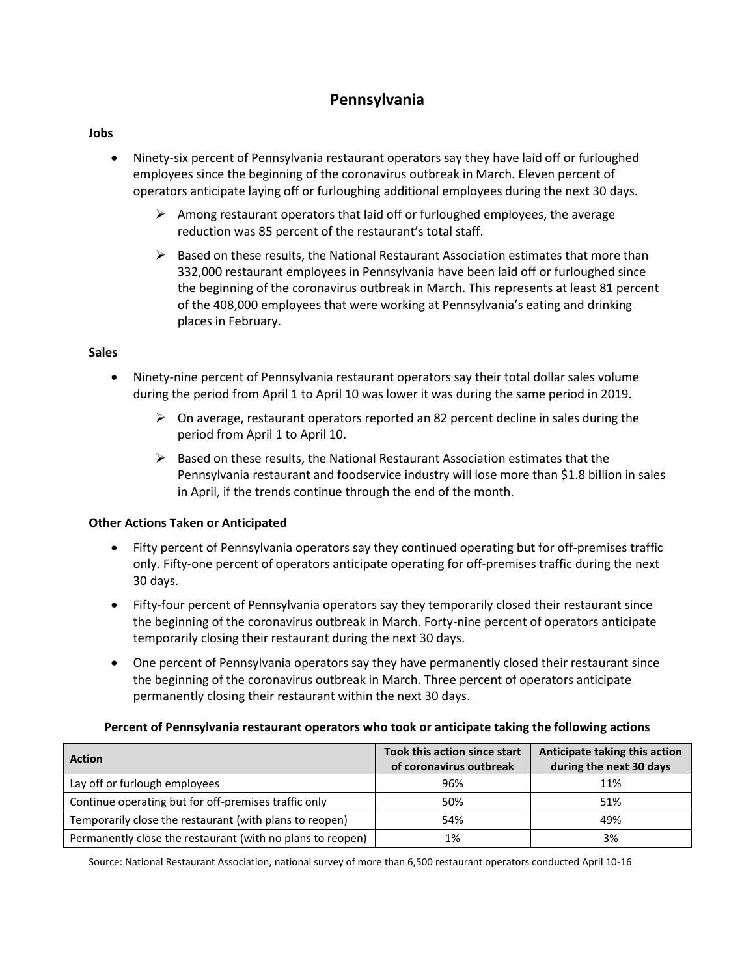# **Pennsylvania**

## **Jobs**

- Ninety-six percent of Pennsylvania restaurant operators say they have laid off or furloughed employees since the beginning of the coronavirus outbreak in March. Eleven percent of operators anticipate laying off or furloughing additional employees during the next 30 days.
	- $\triangleright$  Among restaurant operators that laid off or furloughed employees, the average reduction was 85 percent of the restaurant's total staff.
	- $\triangleright$  Based on these results, the National Restaurant Association estimates that more than 332,000 restaurant employees in Pennsylvania have been laid off or furloughed since the beginning of the coronavirus outbreak in March. This represents at least 81 percent of the 408,000 employees that were working at Pennsylvania's eating and drinking places in February.

## **Sales**

- Ninety-nine percent of Pennsylvania restaurant operators say their total dollar sales volume during the period from April 1 to April 10 was lower it was during the same period in 2019.
	- $\triangleright$  On average, restaurant operators reported an 82 percent decline in sales during the period from April 1 to April 10.
	- $\triangleright$  Based on these results, the National Restaurant Association estimates that the Pennsylvania restaurant and foodservice industry will lose more than \$1.8 billion in sales in April, if the trends continue through the end of the month.

# **Other Actions Taken or Anticipated**

- Fifty percent of Pennsylvania operators say they continued operating but for off-premises traffic only. Fifty-one percent of operators anticipate operating for off-premises traffic during the next 30 days.
- Fifty-four percent of Pennsylvania operators say they temporarily closed their restaurant since the beginning of the coronavirus outbreak in March. Forty-nine percent of operators anticipate temporarily closing their restaurant during the next 30 days.
- One percent of Pennsylvania operators say they have permanently closed their restaurant since the beginning of the coronavirus outbreak in March. Three percent of operators anticipate permanently closing their restaurant within the next 30 days.

## **Percent of Pennsylvania restaurant operators who took or anticipate taking the following actions**

| <b>Action</b>                                              | <b>Took this action since start</b><br>of coronavirus outbreak | Anticipate taking this action<br>during the next 30 days |
|------------------------------------------------------------|----------------------------------------------------------------|----------------------------------------------------------|
| Lay off or furlough employees                              | 96%                                                            | 11%                                                      |
| Continue operating but for off-premises traffic only       | 50%                                                            | 51%                                                      |
| Temporarily close the restaurant (with plans to reopen)    | 54%                                                            | 49%                                                      |
| Permanently close the restaurant (with no plans to reopen) | 1%                                                             | 3%                                                       |

Source: National Restaurant Association, national survey of more than 6,500 restaurant operators conducted April 10-16